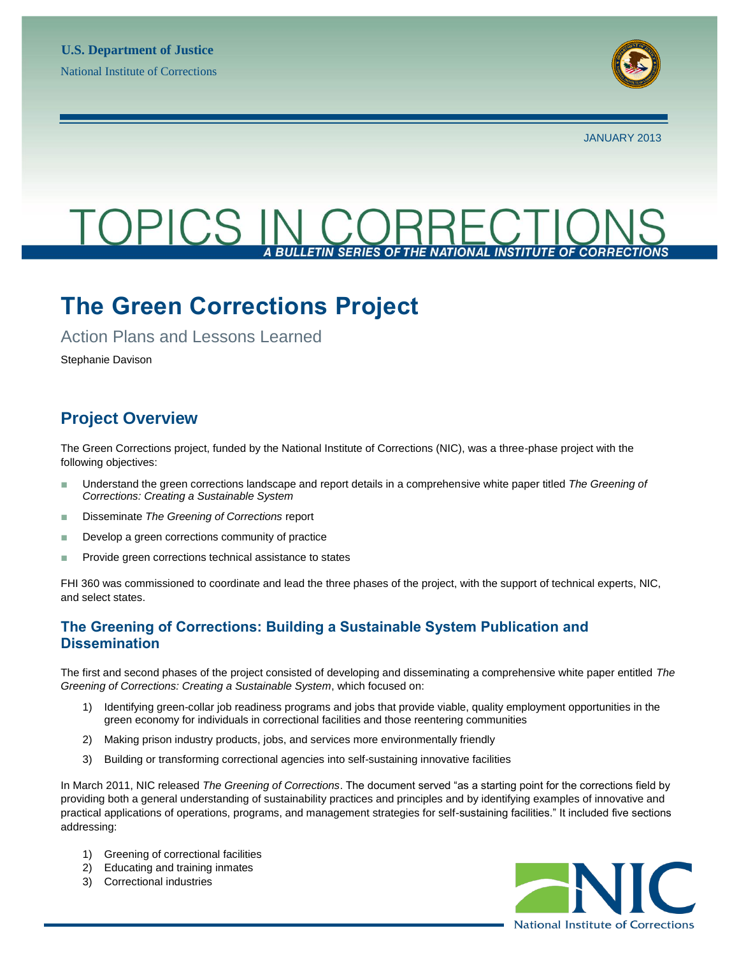

JANUARY 2013

# TOPICS

## **The Green Corrections Project**

Action Plans and Lessons Learned

Stephanie Davison

## **Project Overview**

The Green Corrections project, funded by the National Institute of Corrections (NIC), was a three-phase project with the following objectives:

- Understand the green corrections landscape and report details in a comprehensive white paper titled *The Greening of Corrections: Creating a Sustainable System*
- Disseminate *The Greening of Corrections* report
- Develop a green corrections community of practice
- Provide green corrections technical assistance to states

FHI 360 was commissioned to coordinate and lead the three phases of the project, with the support of technical experts, NIC, and select states.

## **The Greening of Corrections: Building a Sustainable System Publication and Dissemination**

The first and second phases of the project consisted of developing and disseminating a comprehensive white paper entitled *The Greening of Corrections: Creating a Sustainable System*, which focused on:

- 1) Identifying green-collar job readiness programs and jobs that provide viable, quality employment opportunities in the green economy for individuals in correctional facilities and those reentering communities
- 2) Making prison industry products, jobs, and services more environmentally friendly
- 3) Building or transforming correctional agencies into self-sustaining innovative facilities

In March 2011, NIC released *The Greening of Corrections*. The document served "as a starting point for the corrections field by providing both a general understanding of sustainability practices and principles and by identifying examples of innovative and practical applications of operations, programs, and management strategies for self-sustaining facilities." It included five sections addressing:

- 1) Greening of correctional facilities
- 2) Educating and training inmates
- 3) Correctional industries

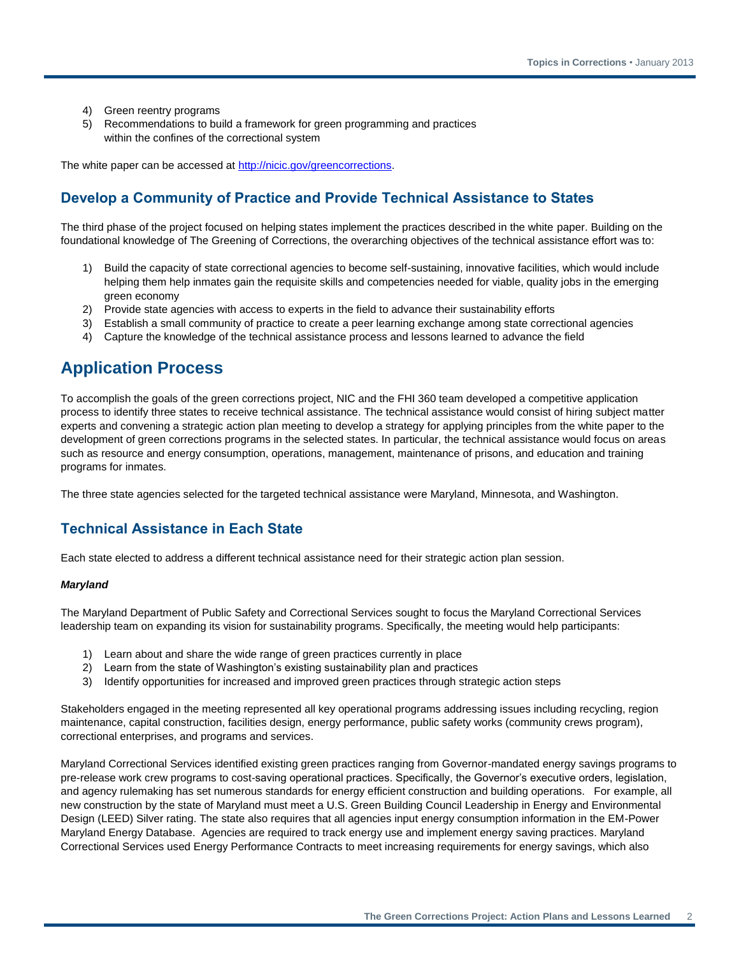- 4) Green reentry programs
- 5) Recommendations to build a framework for green programming and practices within the confines of the correctional system

The white paper can be accessed at [http://nicic.gov/greencorrections.](http://nicic.gov/greencorrections)

## **Develop a Community of Practice and Provide Technical Assistance to States**

The third phase of the project focused on helping states implement the practices described in the white paper. Building on the foundational knowledge of The Greening of Corrections, the overarching objectives of the technical assistance effort was to:

- 1) Build the capacity of state correctional agencies to become self-sustaining, innovative facilities, which would include helping them help inmates gain the requisite skills and competencies needed for viable, quality jobs in the emerging green economy
- 2) Provide state agencies with access to experts in the field to advance their sustainability efforts
- 3) Establish a small community of practice to create a peer learning exchange among state correctional agencies
- 4) Capture the knowledge of the technical assistance process and lessons learned to advance the field

## **Application Process**

To accomplish the goals of the green corrections project, NIC and the FHI 360 team developed a competitive application process to identify three states to receive technical assistance. The technical assistance would consist of hiring subject matter experts and convening a strategic action plan meeting to develop a strategy for applying principles from the white paper to the development of green corrections programs in the selected states. In particular, the technical assistance would focus on areas such as resource and energy consumption, operations, management, maintenance of prisons, and education and training programs for inmates.

The three state agencies selected for the targeted technical assistance were Maryland, Minnesota, and Washington.

### **Technical Assistance in Each State**

Each state elected to address a different technical assistance need for their strategic action plan session.

#### *Maryland*

The Maryland Department of Public Safety and Correctional Services sought to focus the Maryland Correctional Services leadership team on expanding its vision for sustainability programs. Specifically, the meeting would help participants:

- 1) Learn about and share the wide range of green practices currently in place
- 2) Learn from the state of Washington's existing sustainability plan and practices
- 3) Identify opportunities for increased and improved green practices through strategic action steps

Stakeholders engaged in the meeting represented all key operational programs addressing issues including recycling, region maintenance, capital construction, facilities design, energy performance, public safety works (community crews program), correctional enterprises, and programs and services.

Maryland Correctional Services identified existing green practices ranging from Governor-mandated energy savings programs to pre-release work crew programs to cost-saving operational practices. Specifically, the Governor's executive orders, legislation, and agency rulemaking has set numerous standards for energy efficient construction and building operations. For example, all new construction by the state of Maryland must meet a U.S. Green Building Council Leadership in Energy and Environmental Design (LEED) Silver rating. The state also requires that all agencies input energy consumption information in the EM-Power Maryland Energy Database. Agencies are required to track energy use and implement energy saving practices. Maryland Correctional Services used Energy Performance Contracts to meet increasing requirements for energy savings, which also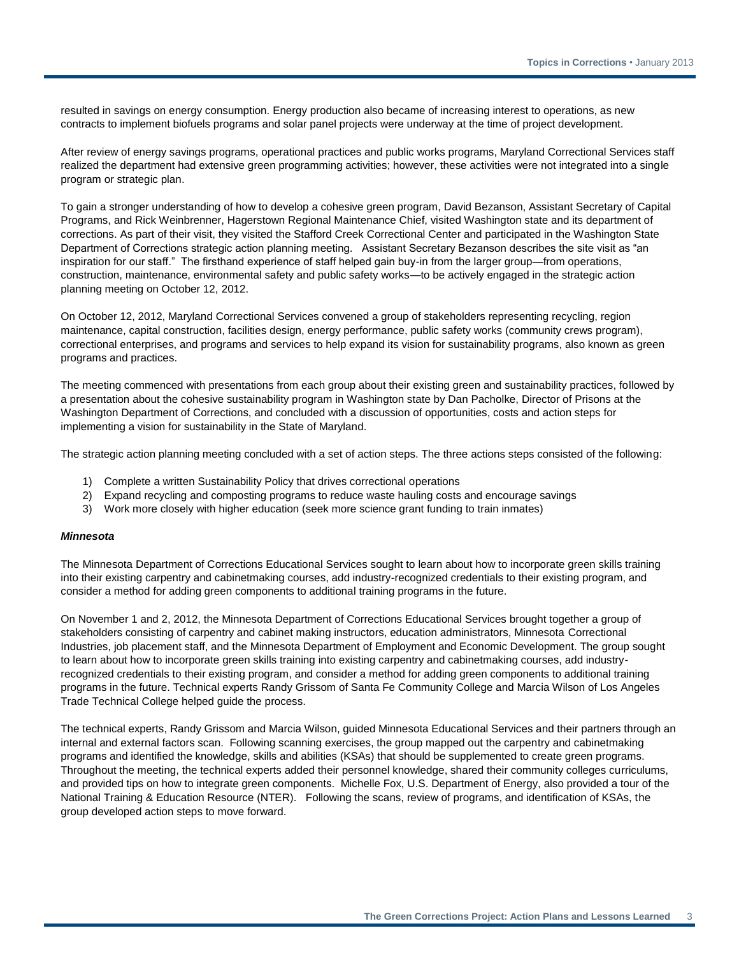resulted in savings on energy consumption. Energy production also became of increasing interest to operations, as new contracts to implement biofuels programs and solar panel projects were underway at the time of project development.

After review of energy savings programs, operational practices and public works programs, Maryland Correctional Services staff realized the department had extensive green programming activities; however, these activities were not integrated into a single program or strategic plan.

To gain a stronger understanding of how to develop a cohesive green program, David Bezanson, Assistant Secretary of Capital Programs, and Rick Weinbrenner, Hagerstown Regional Maintenance Chief, visited Washington state and its department of corrections. As part of their visit, they visited the Stafford Creek Correctional Center and participated in the Washington State Department of Corrections strategic action planning meeting. Assistant Secretary Bezanson describes the site visit as "an inspiration for our staff." The firsthand experience of staff helped gain buy-in from the larger group—from operations, construction, maintenance, environmental safety and public safety works—to be actively engaged in the strategic action planning meeting on October 12, 2012.

On October 12, 2012, Maryland Correctional Services convened a group of stakeholders representing recycling, region maintenance, capital construction, facilities design, energy performance, public safety works (community crews program), correctional enterprises, and programs and services to help expand its vision for sustainability programs, also known as green programs and practices.

The meeting commenced with presentations from each group about their existing green and sustainability practices, followed by a presentation about the cohesive sustainability program in Washington state by Dan Pacholke, Director of Prisons at the Washington Department of Corrections, and concluded with a discussion of opportunities, costs and action steps for implementing a vision for sustainability in the State of Maryland.

The strategic action planning meeting concluded with a set of action steps. The three actions steps consisted of the following:

- 1) Complete a written Sustainability Policy that drives correctional operations
- 2) Expand recycling and composting programs to reduce waste hauling costs and encourage savings
- 3) Work more closely with higher education (seek more science grant funding to train inmates)

#### *Minnesota*

The Minnesota Department of Corrections Educational Services sought to learn about how to incorporate green skills training into their existing carpentry and cabinetmaking courses, add industry-recognized credentials to their existing program, and consider a method for adding green components to additional training programs in the future.

On November 1 and 2, 2012, the Minnesota Department of Corrections Educational Services brought together a group of stakeholders consisting of carpentry and cabinet making instructors, education administrators, Minnesota Correctional Industries, job placement staff, and the Minnesota Department of Employment and Economic Development. The group sought to learn about how to incorporate green skills training into existing carpentry and cabinetmaking courses, add industryrecognized credentials to their existing program, and consider a method for adding green components to additional training programs in the future. Technical experts Randy Grissom of Santa Fe Community College and Marcia Wilson of Los Angeles Trade Technical College helped guide the process.

The technical experts, Randy Grissom and Marcia Wilson, guided Minnesota Educational Services and their partners through an internal and external factors scan. Following scanning exercises, the group mapped out the carpentry and cabinetmaking programs and identified the knowledge, skills and abilities (KSAs) that should be supplemented to create green programs. Throughout the meeting, the technical experts added their personnel knowledge, shared their community colleges curriculums, and provided tips on how to integrate green components. Michelle Fox, U.S. Department of Energy, also provided a tour of the National Training & Education Resource (NTER). Following the scans, review of programs, and identification of KSAs, the group developed action steps to move forward.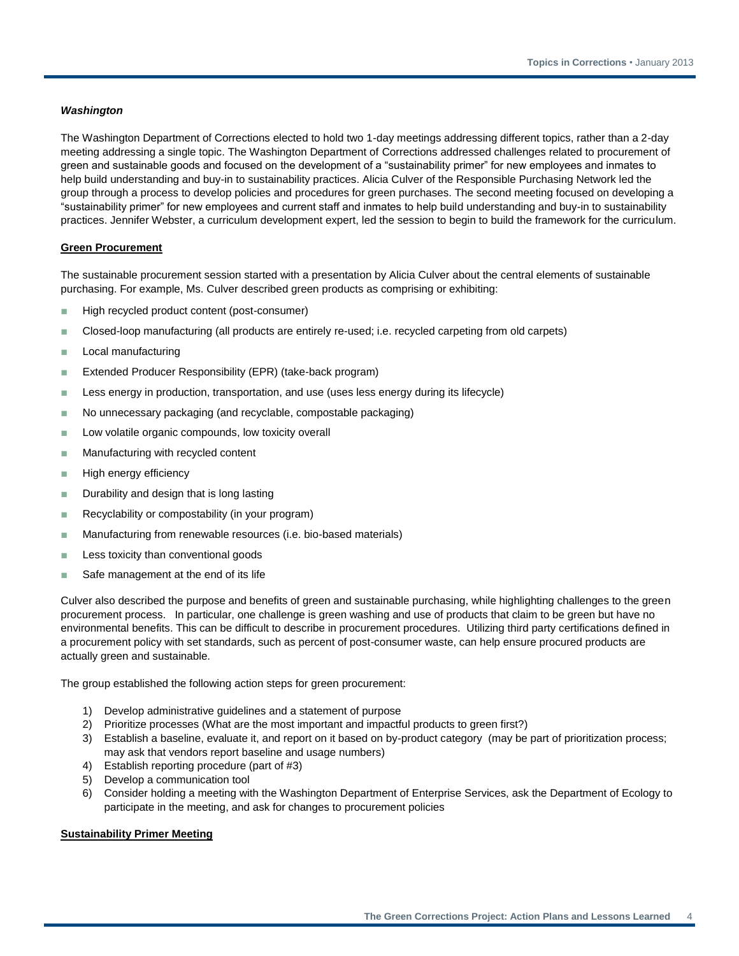#### *Washington*

The Washington Department of Corrections elected to hold two 1-day meetings addressing different topics, rather than a 2-day meeting addressing a single topic. The Washington Department of Corrections addressed challenges related to procurement of green and sustainable goods and focused on the development of a "sustainability primer" for new employees and inmates to help build understanding and buy-in to sustainability practices. Alicia Culver of the Responsible Purchasing Network led the group through a process to develop policies and procedures for green purchases. The second meeting focused on developing a "sustainability primer" for new employees and current staff and inmates to help build understanding and buy-in to sustainability practices. Jennifer Webster, a curriculum development expert, led the session to begin to build the framework for the curriculum.

#### **Green Procurement**

The sustainable procurement session started with a presentation by Alicia Culver about the central elements of sustainable purchasing. For example, Ms. Culver described green products as comprising or exhibiting:

- High recycled product content (post-consumer)
- Closed-loop manufacturing (all products are entirely re-used; i.e. recycled carpeting from old carpets)
- Local manufacturing
- Extended Producer Responsibility (EPR) (take-back program)
- Less energy in production, transportation, and use (uses less energy during its lifecycle)
- No unnecessary packaging (and recyclable, compostable packaging)
- Low volatile organic compounds, low toxicity overall
- Manufacturing with recycled content
- High energy efficiency
- Durability and design that is long lasting
- Recyclability or compostability (in your program)
- Manufacturing from renewable resources (i.e. bio-based materials)
- Less toxicity than conventional goods
- Safe management at the end of its life

Culver also described the purpose and benefits of green and sustainable purchasing, while highlighting challenges to the green procurement process. In particular, one challenge is green washing and use of products that claim to be green but have no environmental benefits. This can be difficult to describe in procurement procedures. Utilizing third party certifications defined in a procurement policy with set standards, such as percent of post-consumer waste, can help ensure procured products are actually green and sustainable.

The group established the following action steps for green procurement:

- 1) Develop administrative guidelines and a statement of purpose
- 2) Prioritize processes (What are the most important and impactful products to green first?)
- 3) Establish a baseline, evaluate it, and report on it based on by-product category (may be part of prioritization process; may ask that vendors report baseline and usage numbers)
- 4) Establish reporting procedure (part of #3)
- 5) Develop a communication tool
- 6) Consider holding a meeting with the Washington Department of Enterprise Services, ask the Department of Ecology to participate in the meeting, and ask for changes to procurement policies

#### **Sustainability Primer Meeting**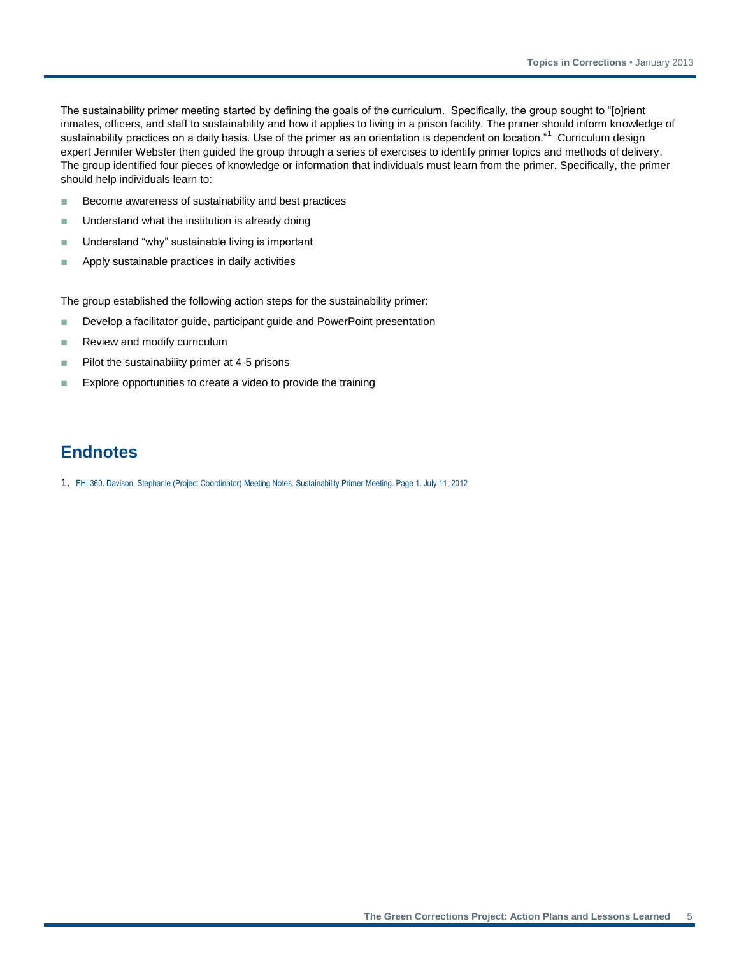The sustainability primer meeting started by defining the goals of the curriculum. Specifically, the group sought to "[o]rient inmates, officers, and staff to sustainability and how it applies to living in a prison facility. The primer should inform knowledge of sustainability practices on a daily basis. Use of the primer as an orientation is dependent on location."<sup>1</sup> Curriculum design expert Jennifer Webster then guided the group through a series of exercises to identify primer topics and methods of delivery. The group identified four pieces of knowledge or information that individuals must learn from the primer. Specifically, the primer should help individuals learn to:

- Become awareness of sustainability and best practices
- Understand what the institution is already doing
- Understand "why" sustainable living is important
- Apply sustainable practices in daily activities

The group established the following action steps for the sustainability primer:

- Develop a facilitator quide, participant quide and PowerPoint presentation
- Review and modify curriculum
- Pilot the sustainability primer at 4-5 prisons
- Explore opportunities to create a video to provide the training

## **Endnotes**

1. FHI 360. Davison, Stephanie (Project Coordinator) Meeting Notes. Sustainability Primer Meeting. Page 1. July 11, 2012